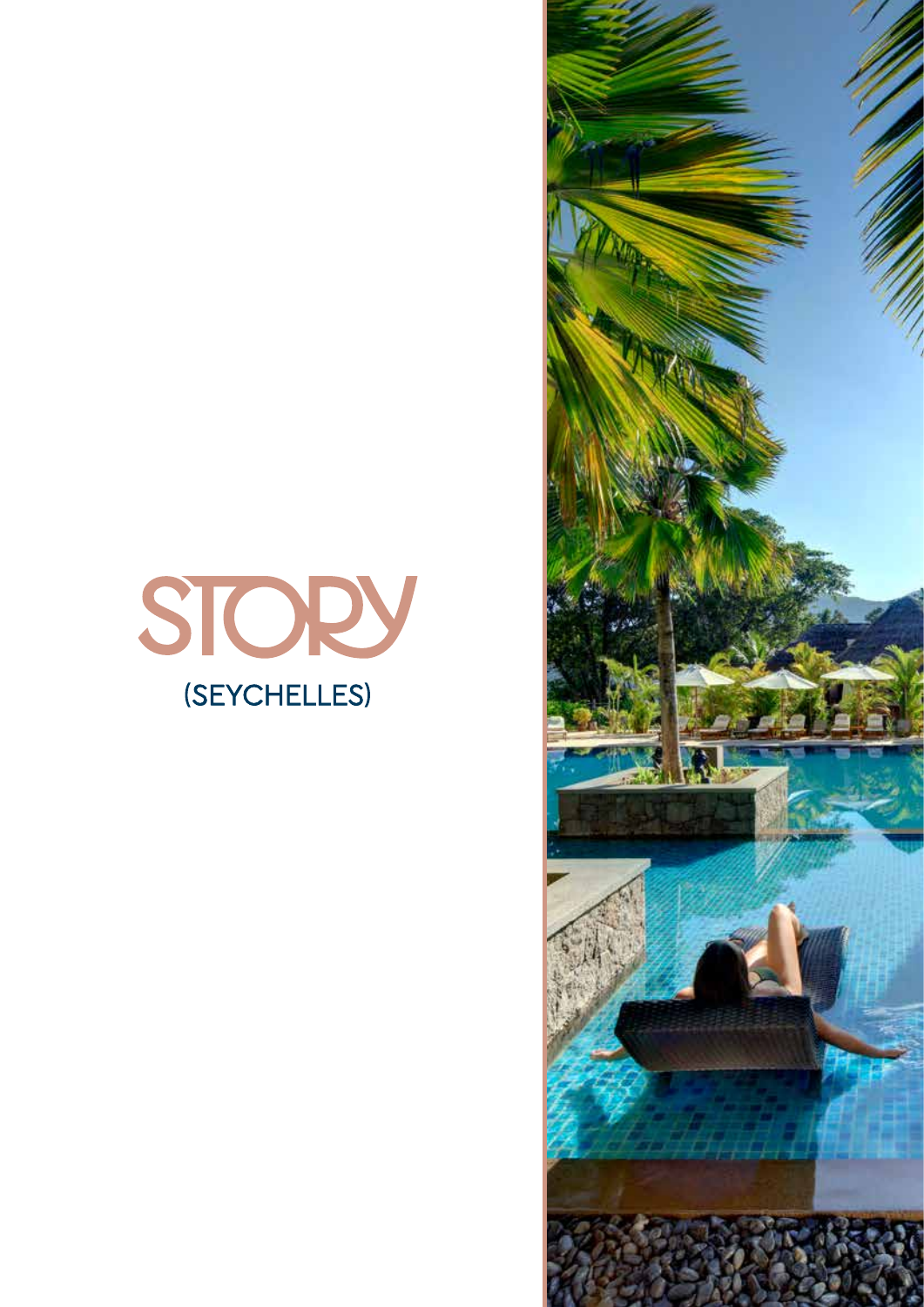

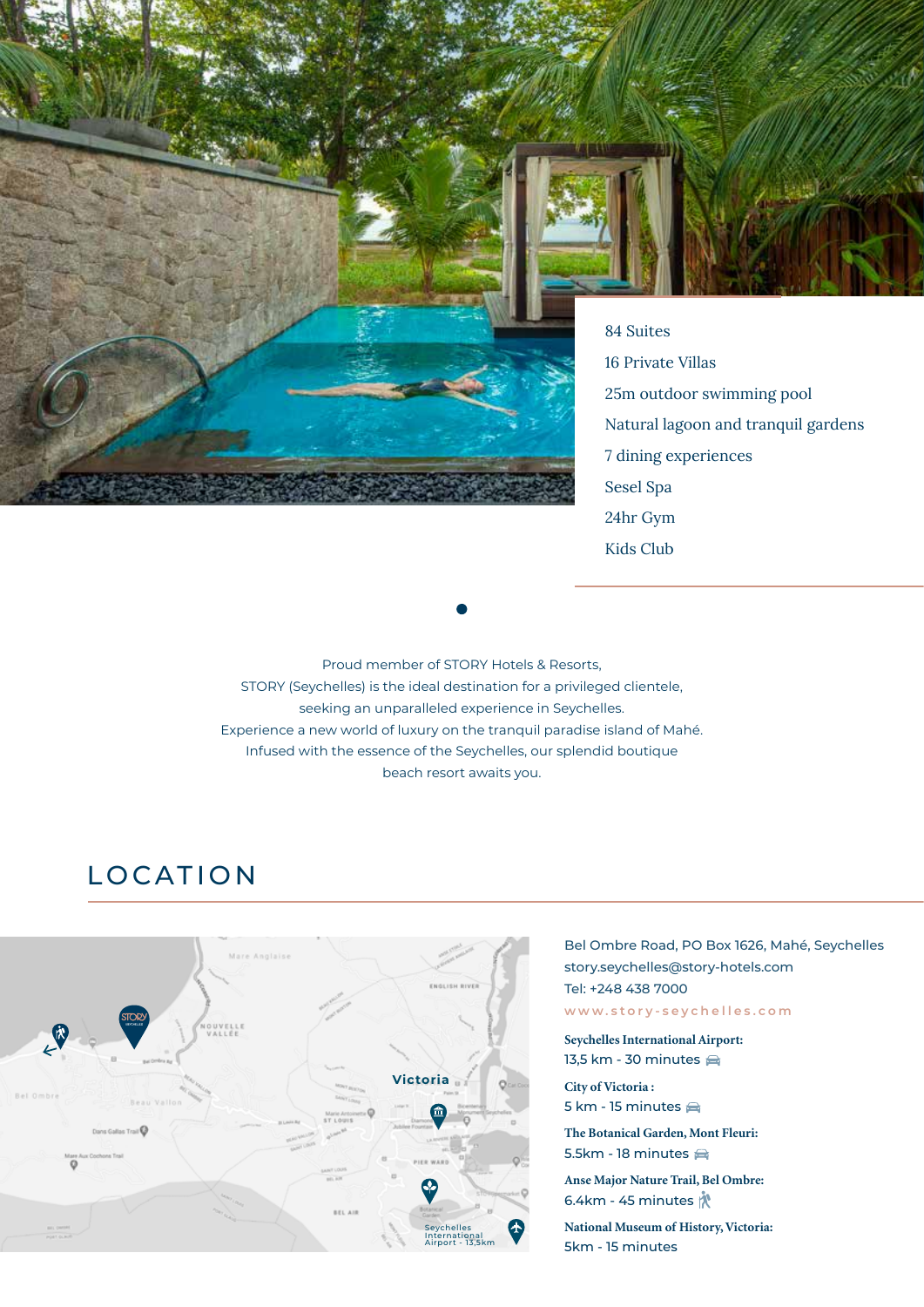



84 Suites 16 Private Villas 25m outdoor swimming pool Natural lagoon and tranquil gardens 7 dining experiences Sesel Spa 24hr Gym Kids Club

Proud member of STORY Hotels & Resorts, STORY (Seychelles) is the ideal destination for a privileged clientele, seeking an unparalleled experience in Seychelles. Experience a new world of luxury on the tranquil paradise island of Mahé. Infused with the essence of the Seychelles, our splendid boutique beach resort awaits you.

# LOCATION



#### Bel Ombre Road, PO Box 1626, Mahé, Seychelles story.seychelles@story-hotels.com Tel: +248 438 7000 **www.story-seychelles.com**

**Seychelles International Airport:**  13,5 km - 30 minutes

**City of Victoria :** 5 km - 15 minutes  $\bigoplus$ 

**The Botanical Garden, Mont Fleuri:** 5.5km - 18 minutes

**Anse Major Nature Trail, Bel Ombre:** 6.4km - 45 minutes  $\mathring{N}$ 

**National Museum of History, Victoria:** 5km - 15 minutes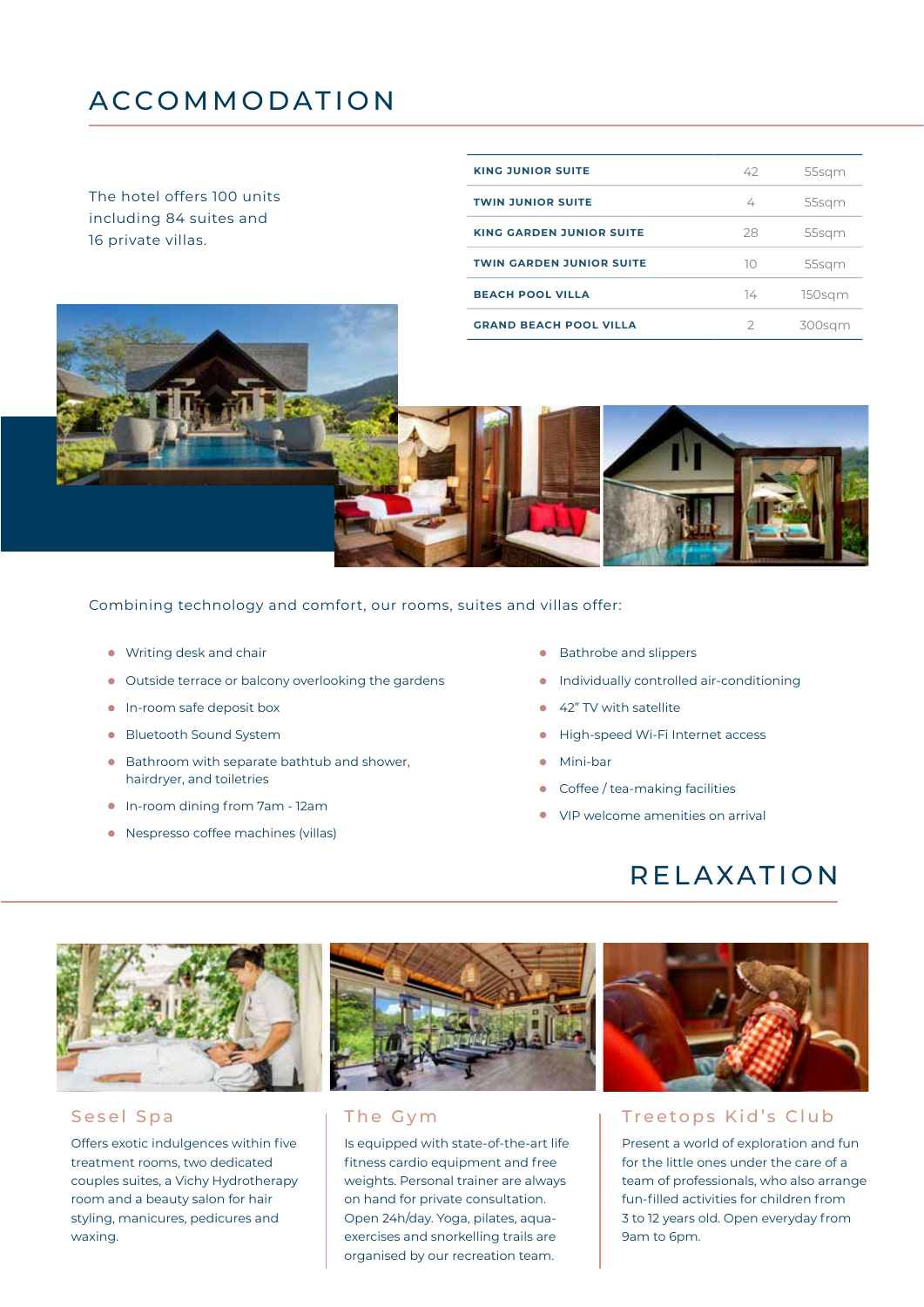## ACCOMMODATION

The hotel offers 100 units including 84 suites and 16 private villas.

| <b>KING JUNIOR SUITE</b>        | 42 | 55sqm  |
|---------------------------------|----|--------|
| <b>TWIN JUNIOR SUITE</b>        | 4  | 55sgm  |
| <b>KING GARDEN JUNIOR SUITE</b> | 28 | 55sqm  |
| <b>TWIN GARDEN JUNIOR SUITE</b> | 10 | 55sgm  |
| <b>BEACH POOL VILLA</b>         | 74 | 150sqm |
| <b>GRAND BEACH POOL VILLA</b>   |    |        |



Combining technology and comfort, our rooms, suites and villas offer:

- Writing desk and chair
- Outside terrace or balcony overlooking the gardens
- **In-room safe deposit box**
- **Bluetooth Sound System**

Offers exotic indulgences within five treatment rooms, two dedicated couples suites, a Vichy Hydrotherapy room and a beauty salon for hair styling, manicures, pedicures and

waxing.

- Bathroom with separate bathtub and shower, hairdryer, and toiletries
- In-room dining from 7am 12am
- Nespresso coffee machines (villas)
- Bathrobe and slippers
- **•** Individually controlled air-conditioning
- 42" TV with satellite
- High-speed Wi-Fi Internet access
- Mini-bar
- Coffee / tea-making facilities
- VIP welcome amenities on arrival

## RELAXATION



Is equipped with state-of-the-art life fitness cardio equipment and free weights. Personal trainer are always on hand for private consultation. Open 24h/day. Yoga, pilates, aquaexercises and snorkelling trails are organised by our recreation team.



#### Sesel Spa The Gym The Gym Treetops Kid's Club

Present a world of exploration and fun for the little ones under the care of a team of professionals, who also arrange fun-filled activities for children from 3 to 12 years old. Open everyday from 9am to 6pm.